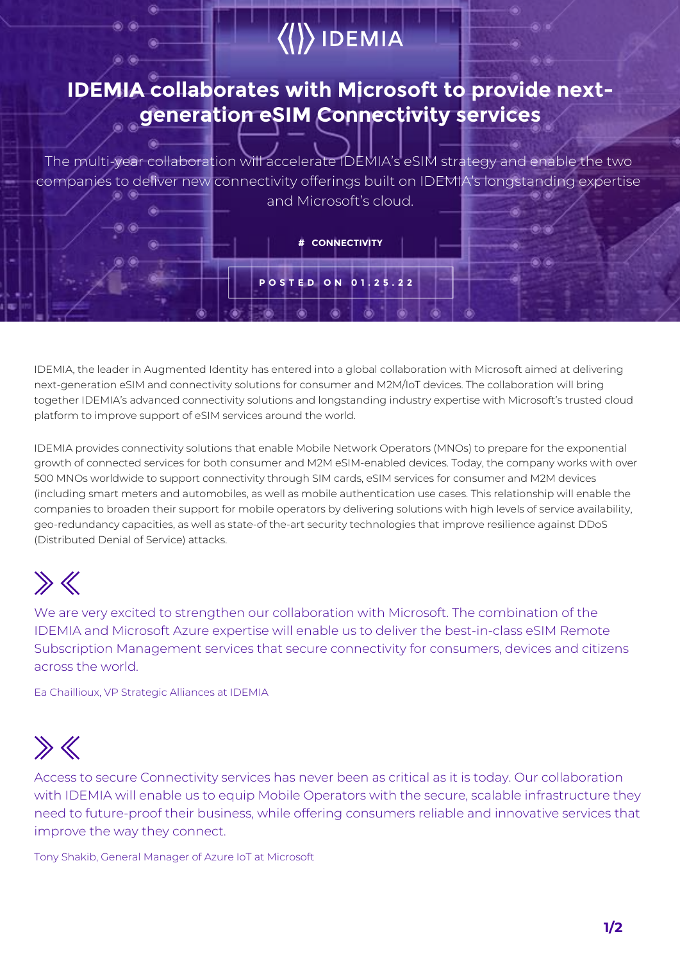## DEMIA (

#### **IDEMIA collaborates with Microsoft to provide nextgeneration eSIM Connectivity services**

The multi-year collaboration will accelerate IDEMIA's eSIM strategy and enable the two companies to deliver new connectivity offerings built on IDEMIA's longstanding expertise and Microsoft's cloud.

**# CONNECTIVITY**

**POSTED ON 01.25.22**

IDEMIA, the leader in Augmented Identity has entered into a global collaboration with Microsoft aimed at delivering next-generation eSIM and connectivity solutions for consumer and M2M/IoT devices. The collaboration will bring together IDEMIA's advanced connectivity solutions and longstanding industry expertise with Microsoft's trusted cloud platform to improve support of eSIM services around the world.

IDEMIA provides connectivity solutions that enable Mobile Network Operators (MNOs) to prepare for the exponential growth of connected services for both consumer and M2M eSIM-enabled devices. Today, the company works with over 500 MNOs worldwide to support connectivity through SIM cards, eSIM services for consumer and M2M devices (including smart meters and automobiles, as well as mobile authentication use cases. This relationship will enable the companies to broaden their support for mobile operators by delivering solutions with high levels of service availability, geo-redundancy capacities, as well as state-of the-art security technologies that improve resilience against DDoS (Distributed Denial of Service) attacks.

# $\gg$

We are very excited to strengthen our collaboration with Microsoft. The combination of the IDEMIA and Microsoft Azure expertise will enable us to deliver the best-in-class eSIM Remote Subscription Management services that secure connectivity for consumers, devices and citizens across the world.

Ea Chaillioux, VP Strategic Alliances at IDEMIA

### $\gg K$

Access to secure Connectivity services has never been as critical as it is today. Our collaboration with IDEMIA will enable us to equip Mobile Operators with the secure, scalable infrastructure they need to future-proof their business, while offering consumers reliable and innovative services that improve the way they connect.

Tony Shakib, General Manager of Azure IoT at Microsoft